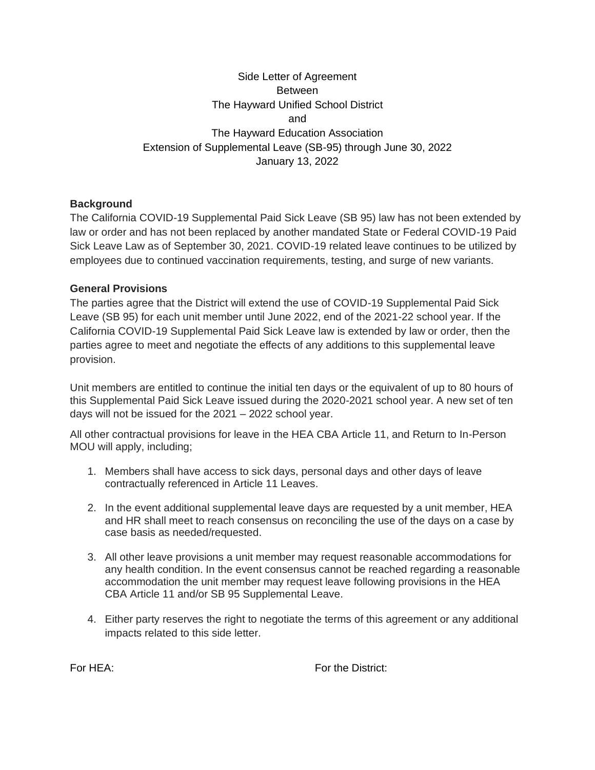## Side Letter of Agreement Between The Hayward Unified School District and The Hayward Education Association Extension of Supplemental Leave (SB-95) through June 30, 2022 January 13, 2022

## **Background**

The California COVID-19 Supplemental Paid Sick Leave (SB 95) law has not been extended by law or order and has not been replaced by another mandated State or Federal COVID-19 Paid Sick Leave Law as of September 30, 2021. COVID-19 related leave continues to be utilized by employees due to continued vaccination requirements, testing, and surge of new variants.

## **General Provisions**

The parties agree that the District will extend the use of COVID-19 Supplemental Paid Sick Leave (SB 95) for each unit member until June 2022, end of the 2021-22 school year. If the California COVID-19 Supplemental Paid Sick Leave law is extended by law or order, then the parties agree to meet and negotiate the effects of any additions to this supplemental leave provision.

Unit members are entitled to continue the initial ten days or the equivalent of up to 80 hours of this Supplemental Paid Sick Leave issued during the 2020-2021 school year. A new set of ten days will not be issued for the 2021 – 2022 school year.

All other contractual provisions for leave in the HEA CBA Article 11, and Return to In-Person MOU will apply, including;

- 1. Members shall have access to sick days, personal days and other days of leave contractually referenced in Article 11 Leaves.
- 2. In the event additional supplemental leave days are requested by a unit member, HEA and HR shall meet to reach consensus on reconciling the use of the days on a case by case basis as needed/requested.
- 3. All other leave provisions a unit member may request reasonable accommodations for any health condition. In the event consensus cannot be reached regarding a reasonable accommodation the unit member may request leave following provisions in the HEA CBA Article 11 and/or SB 95 Supplemental Leave.
- 4. Either party reserves the right to negotiate the terms of this agreement or any additional impacts related to this side letter.

For HEA: For the District: